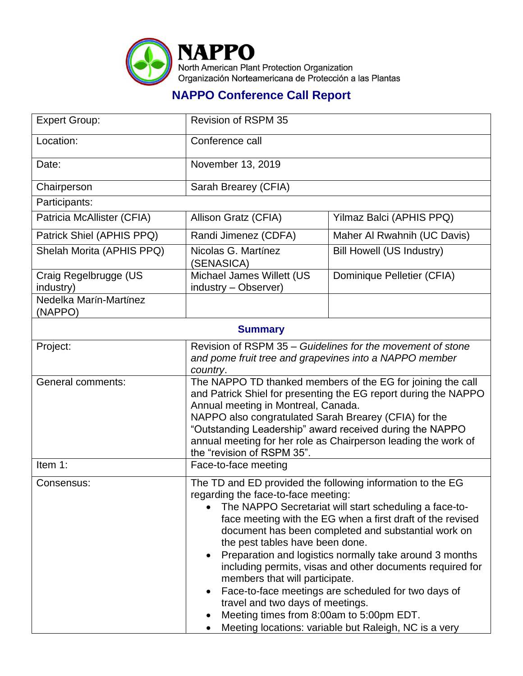

## **NAPPO Conference Call Report**

| <b>Expert Group:</b>               | <b>Revision of RSPM 35</b>                                                                                                                                                                                                                                                                                                                                                                                                                                                                                                                                                                                                                                                    |                                                            |  |
|------------------------------------|-------------------------------------------------------------------------------------------------------------------------------------------------------------------------------------------------------------------------------------------------------------------------------------------------------------------------------------------------------------------------------------------------------------------------------------------------------------------------------------------------------------------------------------------------------------------------------------------------------------------------------------------------------------------------------|------------------------------------------------------------|--|
| Location:                          | Conference call                                                                                                                                                                                                                                                                                                                                                                                                                                                                                                                                                                                                                                                               |                                                            |  |
| Date:                              | November 13, 2019                                                                                                                                                                                                                                                                                                                                                                                                                                                                                                                                                                                                                                                             |                                                            |  |
| Chairperson                        | Sarah Brearey (CFIA)                                                                                                                                                                                                                                                                                                                                                                                                                                                                                                                                                                                                                                                          |                                                            |  |
| Participants:                      |                                                                                                                                                                                                                                                                                                                                                                                                                                                                                                                                                                                                                                                                               |                                                            |  |
| Patricia McAllister (CFIA)         | Allison Gratz (CFIA)                                                                                                                                                                                                                                                                                                                                                                                                                                                                                                                                                                                                                                                          | Yilmaz Balci (APHIS PPQ)                                   |  |
| Patrick Shiel (APHIS PPQ)          | Randi Jimenez (CDFA)                                                                                                                                                                                                                                                                                                                                                                                                                                                                                                                                                                                                                                                          | Maher Al Rwahnih (UC Davis)                                |  |
| Shelah Morita (APHIS PPQ)          | Nicolas G. Martínez<br>(SENASICA)                                                                                                                                                                                                                                                                                                                                                                                                                                                                                                                                                                                                                                             | Bill Howell (US Industry)                                  |  |
| Craig Regelbrugge (US<br>industry) | Michael James Willett (US<br>industry - Observer)                                                                                                                                                                                                                                                                                                                                                                                                                                                                                                                                                                                                                             | Dominique Pelletier (CFIA)                                 |  |
| Nedelka Marín-Martínez<br>(NAPPO)  |                                                                                                                                                                                                                                                                                                                                                                                                                                                                                                                                                                                                                                                                               |                                                            |  |
| <b>Summary</b>                     |                                                                                                                                                                                                                                                                                                                                                                                                                                                                                                                                                                                                                                                                               |                                                            |  |
| Project:                           | and pome fruit tree and grapevines into a NAPPO member<br>country.                                                                                                                                                                                                                                                                                                                                                                                                                                                                                                                                                                                                            | Revision of RSPM 35 – Guidelines for the movement of stone |  |
| <b>General comments:</b>           | The NAPPO TD thanked members of the EG for joining the call<br>and Patrick Shiel for presenting the EG report during the NAPPO<br>Annual meeting in Montreal, Canada.<br>NAPPO also congratulated Sarah Brearey (CFIA) for the<br>"Outstanding Leadership" award received during the NAPPO<br>annual meeting for her role as Chairperson leading the work of<br>the "revision of RSPM 35".                                                                                                                                                                                                                                                                                    |                                                            |  |
| Item 1:                            | Face-to-face meeting                                                                                                                                                                                                                                                                                                                                                                                                                                                                                                                                                                                                                                                          |                                                            |  |
| Consensus:                         | The TD and ED provided the following information to the EG<br>regarding the face-to-face meeting:<br>The NAPPO Secretariat will start scheduling a face-to-<br>face meeting with the EG when a first draft of the revised<br>document has been completed and substantial work on<br>the pest tables have been done.<br>Preparation and logistics normally take around 3 months<br>including permits, visas and other documents required for<br>members that will participate.<br>Face-to-face meetings are scheduled for two days of<br>travel and two days of meetings.<br>Meeting times from 8:00am to 5:00pm EDT.<br>Meeting locations: variable but Raleigh, NC is a very |                                                            |  |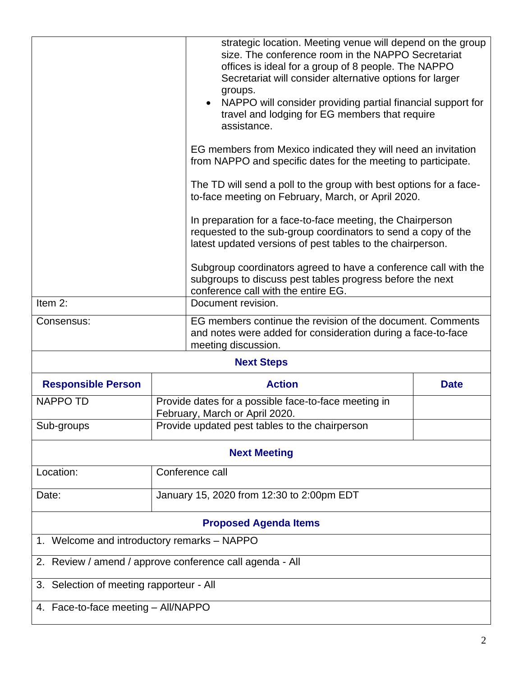|                                                          | groups.<br>assistance.<br>conference call with the entire EG.                          | strategic location. Meeting venue will depend on the group<br>size. The conference room in the NAPPO Secretariat<br>offices is ideal for a group of 8 people. The NAPPO<br>Secretariat will consider alternative options for larger<br>NAPPO will consider providing partial financial support for<br>travel and lodging for EG members that require<br>EG members from Mexico indicated they will need an invitation<br>from NAPPO and specific dates for the meeting to participate.<br>The TD will send a poll to the group with best options for a face-<br>to-face meeting on February, March, or April 2020.<br>In preparation for a face-to-face meeting, the Chairperson<br>requested to the sub-group coordinators to send a copy of the<br>latest updated versions of pest tables to the chairperson.<br>Subgroup coordinators agreed to have a conference call with the<br>subgroups to discuss pest tables progress before the next |  |  |
|----------------------------------------------------------|----------------------------------------------------------------------------------------|-------------------------------------------------------------------------------------------------------------------------------------------------------------------------------------------------------------------------------------------------------------------------------------------------------------------------------------------------------------------------------------------------------------------------------------------------------------------------------------------------------------------------------------------------------------------------------------------------------------------------------------------------------------------------------------------------------------------------------------------------------------------------------------------------------------------------------------------------------------------------------------------------------------------------------------------------|--|--|
| Item 2:                                                  | Document revision.                                                                     |                                                                                                                                                                                                                                                                                                                                                                                                                                                                                                                                                                                                                                                                                                                                                                                                                                                                                                                                                 |  |  |
| Consensus:                                               | meeting discussion.                                                                    | EG members continue the revision of the document. Comments<br>and notes were added for consideration during a face-to-face                                                                                                                                                                                                                                                                                                                                                                                                                                                                                                                                                                                                                                                                                                                                                                                                                      |  |  |
| <b>Next Steps</b>                                        |                                                                                        |                                                                                                                                                                                                                                                                                                                                                                                                                                                                                                                                                                                                                                                                                                                                                                                                                                                                                                                                                 |  |  |
| <b>Responsible Person</b>                                | <b>Action</b>                                                                          | <b>Date</b>                                                                                                                                                                                                                                                                                                                                                                                                                                                                                                                                                                                                                                                                                                                                                                                                                                                                                                                                     |  |  |
| <b>NAPPO TD</b>                                          | Provide dates for a possible face-to-face meeting in<br>February, March or April 2020. |                                                                                                                                                                                                                                                                                                                                                                                                                                                                                                                                                                                                                                                                                                                                                                                                                                                                                                                                                 |  |  |
| Sub-groups                                               | Provide updated pest tables to the chairperson                                         |                                                                                                                                                                                                                                                                                                                                                                                                                                                                                                                                                                                                                                                                                                                                                                                                                                                                                                                                                 |  |  |
| <b>Next Meeting</b>                                      |                                                                                        |                                                                                                                                                                                                                                                                                                                                                                                                                                                                                                                                                                                                                                                                                                                                                                                                                                                                                                                                                 |  |  |
| Location:                                                | Conference call                                                                        |                                                                                                                                                                                                                                                                                                                                                                                                                                                                                                                                                                                                                                                                                                                                                                                                                                                                                                                                                 |  |  |
| Date:                                                    | January 15, 2020 from 12:30 to 2:00pm EDT                                              |                                                                                                                                                                                                                                                                                                                                                                                                                                                                                                                                                                                                                                                                                                                                                                                                                                                                                                                                                 |  |  |
| <b>Proposed Agenda Items</b>                             |                                                                                        |                                                                                                                                                                                                                                                                                                                                                                                                                                                                                                                                                                                                                                                                                                                                                                                                                                                                                                                                                 |  |  |
| 1. Welcome and introductory remarks - NAPPO              |                                                                                        |                                                                                                                                                                                                                                                                                                                                                                                                                                                                                                                                                                                                                                                                                                                                                                                                                                                                                                                                                 |  |  |
| 2. Review / amend / approve conference call agenda - All |                                                                                        |                                                                                                                                                                                                                                                                                                                                                                                                                                                                                                                                                                                                                                                                                                                                                                                                                                                                                                                                                 |  |  |
| 3. Selection of meeting rapporteur - All                 |                                                                                        |                                                                                                                                                                                                                                                                                                                                                                                                                                                                                                                                                                                                                                                                                                                                                                                                                                                                                                                                                 |  |  |
| 4. Face-to-face meeting - All/NAPPO                      |                                                                                        |                                                                                                                                                                                                                                                                                                                                                                                                                                                                                                                                                                                                                                                                                                                                                                                                                                                                                                                                                 |  |  |